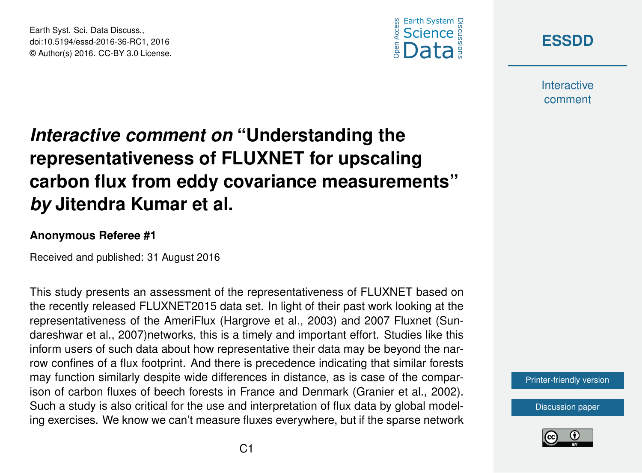





**Interactive** comment

# *Interactive comment on* **"Understanding the representativeness of FLUXNET for upscaling carbon flux from eddy covariance measurements"** *by* **Jitendra Kumar et al.**

### **Anonymous Referee #1**

Received and published: 31 August 2016

This study presents an assessment of the representativeness of FLUXNET based on the recently released FLUXNET2015 data set. In light of their past work looking at the representativeness of the AmeriFlux (Hargrove et al., 2003) and 2007 Fluxnet (Sundareshwar et al., 2007)networks, this is a timely and important effort. Studies like this inform users of such data about how representative their data may be beyond the narrow confines of a flux footprint. And there is precedence indicating that similar forests may function similarly despite wide differences in distance, as is case of the comparison of carbon fluxes of beech forests in France and Denmark (Granier et al., 2002). Such a study is also critical for the use and interpretation of flux data by global modeling exercises. We know we can't measure fluxes everywhere, but if the sparse network

[Printer-friendly version](http://www.earth-syst-sci-data-discuss.net/essd-2016-36/essd-2016-36-RC1-print.pdf)

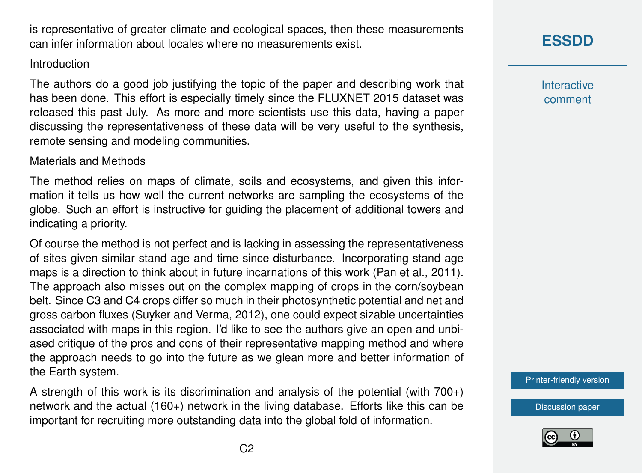is representative of greater climate and ecological spaces, then these measurements can infer information about locales where no measurements exist.

### Introduction

The authors do a good job justifying the topic of the paper and describing work that has been done. This effort is especially timely since the FLUXNET 2015 dataset was released this past July. As more and more scientists use this data, having a paper discussing the representativeness of these data will be very useful to the synthesis, remote sensing and modeling communities.

## Materials and Methods

The method relies on maps of climate, soils and ecosystems, and given this information it tells us how well the current networks are sampling the ecosystems of the globe. Such an effort is instructive for guiding the placement of additional towers and indicating a priority.

Of course the method is not perfect and is lacking in assessing the representativeness of sites given similar stand age and time since disturbance. Incorporating stand age maps is a direction to think about in future incarnations of this work (Pan et al., 2011). The approach also misses out on the complex mapping of crops in the corn/soybean belt. Since C3 and C4 crops differ so much in their photosynthetic potential and net and gross carbon fluxes (Suyker and Verma, 2012), one could expect sizable uncertainties associated with maps in this region. I'd like to see the authors give an open and unbiased critique of the pros and cons of their representative mapping method and where the approach needs to go into the future as we glean more and better information of the Earth system.

A strength of this work is its discrimination and analysis of the potential (with  $700<sub>+</sub>$ ) network and the actual (160+) network in the living database. Efforts like this can be important for recruiting more outstanding data into the global fold of information.

# **[ESSDD](http://www.earth-syst-sci-data-discuss.net/)**

**Interactive** comment

[Printer-friendly version](http://www.earth-syst-sci-data-discuss.net/essd-2016-36/essd-2016-36-RC1-print.pdf)

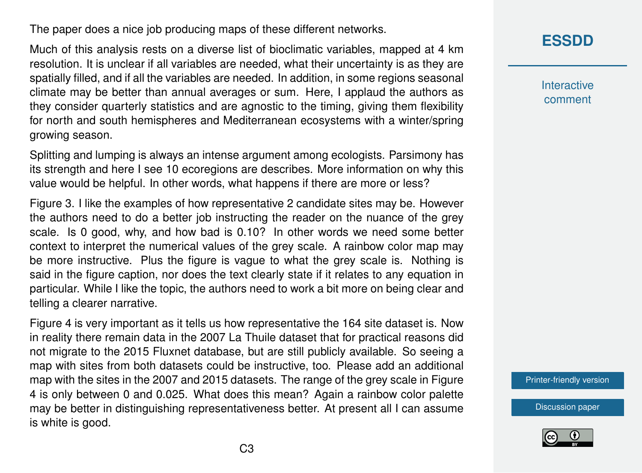The paper does a nice job producing maps of these different networks.

Much of this analysis rests on a diverse list of bioclimatic variables, mapped at 4 km resolution. It is unclear if all variables are needed, what their uncertainty is as they are spatially filled, and if all the variables are needed. In addition, in some regions seasonal climate may be better than annual averages or sum. Here, I applaud the authors as they consider quarterly statistics and are agnostic to the timing, giving them flexibility for north and south hemispheres and Mediterranean ecosystems with a winter/spring growing season.

Splitting and lumping is always an intense argument among ecologists. Parsimony has its strength and here I see 10 ecoregions are describes. More information on why this value would be helpful. In other words, what happens if there are more or less?

Figure 3. I like the examples of how representative 2 candidate sites may be. However the authors need to do a better job instructing the reader on the nuance of the grey scale. Is 0 good, why, and how bad is 0.10? In other words we need some better context to interpret the numerical values of the grey scale. A rainbow color map may be more instructive. Plus the figure is vague to what the grey scale is. Nothing is said in the figure caption, nor does the text clearly state if it relates to any equation in particular. While I like the topic, the authors need to work a bit more on being clear and telling a clearer narrative.

Figure 4 is very important as it tells us how representative the 164 site dataset is. Now in reality there remain data in the 2007 La Thuile dataset that for practical reasons did not migrate to the 2015 Fluxnet database, but are still publicly available. So seeing a map with sites from both datasets could be instructive, too. Please add an additional map with the sites in the 2007 and 2015 datasets. The range of the grey scale in Figure 4 is only between 0 and 0.025. What does this mean? Again a rainbow color palette may be better in distinguishing representativeness better. At present all I can assume is white is good.

**[ESSDD](http://www.earth-syst-sci-data-discuss.net/)**

**Interactive** comment

[Printer-friendly version](http://www.earth-syst-sci-data-discuss.net/essd-2016-36/essd-2016-36-RC1-print.pdf)

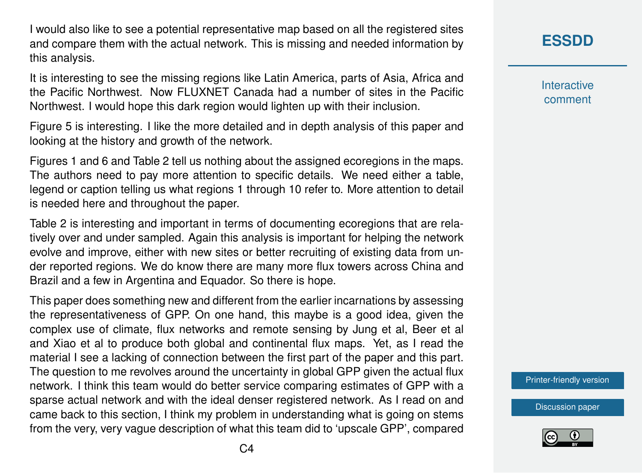I would also like to see a potential representative map based on all the registered sites and compare them with the actual network. This is missing and needed information by this analysis.

It is interesting to see the missing regions like Latin America, parts of Asia, Africa and the Pacific Northwest. Now FLUXNET Canada had a number of sites in the Pacific Northwest. I would hope this dark region would lighten up with their inclusion.

Figure 5 is interesting. I like the more detailed and in depth analysis of this paper and looking at the history and growth of the network.

Figures 1 and 6 and Table 2 tell us nothing about the assigned ecoregions in the maps. The authors need to pay more attention to specific details. We need either a table, legend or caption telling us what regions 1 through 10 refer to. More attention to detail is needed here and throughout the paper.

Table 2 is interesting and important in terms of documenting ecoregions that are relatively over and under sampled. Again this analysis is important for helping the network evolve and improve, either with new sites or better recruiting of existing data from under reported regions. We do know there are many more flux towers across China and Brazil and a few in Argentina and Equador. So there is hope.

This paper does something new and different from the earlier incarnations by assessing the representativeness of GPP. On one hand, this maybe is a good idea, given the complex use of climate, flux networks and remote sensing by Jung et al, Beer et al and Xiao et al to produce both global and continental flux maps. Yet, as I read the material I see a lacking of connection between the first part of the paper and this part. The question to me revolves around the uncertainty in global GPP given the actual flux network. I think this team would do better service comparing estimates of GPP with a sparse actual network and with the ideal denser registered network. As I read on and came back to this section, I think my problem in understanding what is going on stems from the very, very vague description of what this team did to 'upscale GPP', compared **[ESSDD](http://www.earth-syst-sci-data-discuss.net/)**

**Interactive** comment

[Printer-friendly version](http://www.earth-syst-sci-data-discuss.net/essd-2016-36/essd-2016-36-RC1-print.pdf)

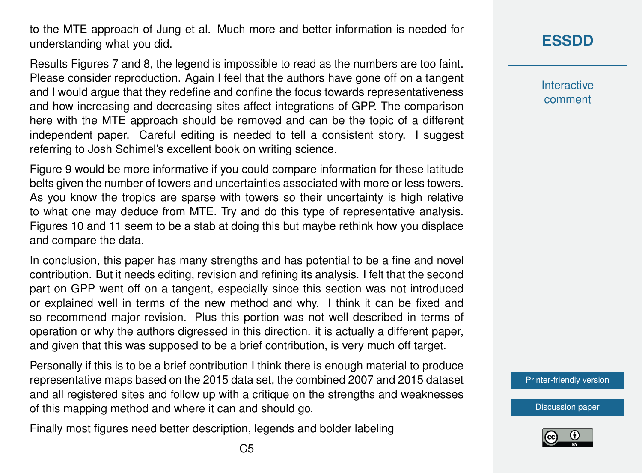to the MTE approach of Jung et al. Much more and better information is needed for understanding what you did.

Results Figures 7 and 8, the legend is impossible to read as the numbers are too faint. Please consider reproduction. Again I feel that the authors have gone off on a tangent and I would argue that they redefine and confine the focus towards representativeness and how increasing and decreasing sites affect integrations of GPP. The comparison here with the MTE approach should be removed and can be the topic of a different independent paper. Careful editing is needed to tell a consistent story. I suggest referring to Josh Schimel's excellent book on writing science.

Figure 9 would be more informative if you could compare information for these latitude belts given the number of towers and uncertainties associated with more or less towers. As you know the tropics are sparse with towers so their uncertainty is high relative to what one may deduce from MTE. Try and do this type of representative analysis. Figures 10 and 11 seem to be a stab at doing this but maybe rethink how you displace and compare the data.

In conclusion, this paper has many strengths and has potential to be a fine and novel contribution. But it needs editing, revision and refining its analysis. I felt that the second part on GPP went off on a tangent, especially since this section was not introduced or explained well in terms of the new method and why. I think it can be fixed and so recommend major revision. Plus this portion was not well described in terms of operation or why the authors digressed in this direction. it is actually a different paper, and given that this was supposed to be a brief contribution, is very much off target.

Personally if this is to be a brief contribution I think there is enough material to produce representative maps based on the 2015 data set, the combined 2007 and 2015 dataset and all registered sites and follow up with a critique on the strengths and weaknesses of this mapping method and where it can and should go.

Finally most figures need better description, legends and bolder labeling

**Interactive** comment

[Printer-friendly version](http://www.earth-syst-sci-data-discuss.net/essd-2016-36/essd-2016-36-RC1-print.pdf)